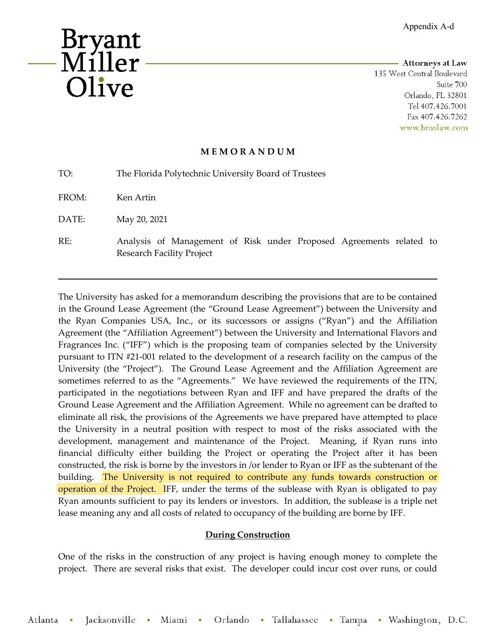

-------------------------- **Attorneys at Law**  135 West Central Boulevard Suite 700 Orlando, FL 32801 Tel 407.426. 7001 Fax 407.426. 7262 www.bmolaw.com

## **M E M O R A N D U M**

| TO:   | The Florida Polytechnic University Board of Trustees                                                    |
|-------|---------------------------------------------------------------------------------------------------------|
| FROM: | Ken Artin                                                                                               |
| DATE: | May 20, 2021                                                                                            |
| RE:   | Analysis of Management of Risk under Proposed Agreements related to<br><b>Research Facility Project</b> |

The University has asked for a memorandum describing the provisions that are to be contained in the Ground Lease Agreement (the "Ground Lease Agreement") between the University and the Ryan Companies USA, Inc., or its successors or assigns ("Ryan") and the Affiliation Agreement (the "Affiliation Agreement") between the University and International Flavors and Fragrances Inc. ("IFF") which is the proposing team of companies selected by the University pursuant to ITN #21-001 related to the development of a research facility on the campus of the University (the "Project"). The Ground Lease Agreement and the Affiliation Agreement are sometimes referred to as the "Agreements." We have reviewed the requirements of the ITN, participated in the negotiations between Ryan and IFF and have prepared the drafts of the Ground Lease Agreement and the Affiliation Agreement. While no agreement can be drafted to eliminate all risk, the provisions of the Agreements we have prepared have attempted to place the University in a neutral position with respect to most of the risks associated with the development, management and maintenance of the Project. Meaning, if Ryan runs into financial difficulty either building the Project or operating the Project after it has been constructed, the risk is borne by the investors in /or lender to Ryan or IFF as the subtenant of the building. The University is not required to contribute any funds towards construction or operation of the Project. IFF, under the terms of the sublease with Ryan is obligated to pay Ryan amounts sufficient to pay its lenders or investors. In addition, the sublease is a triple net lease meaning any and all costs of related to occupancy of the building are borne by IFF.

## **During Construction**

One of the risks in the construction of any project is having enough money to complete the project. There are several risks that exist. The developer could incur cost over runs, or could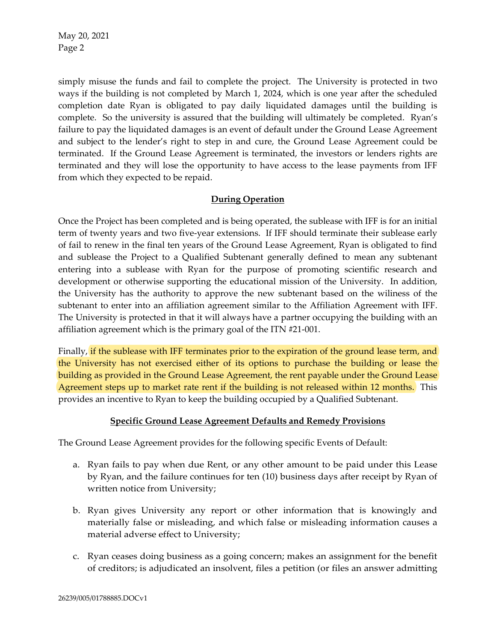May 20, 2021 Page 2

simply misuse the funds and fail to complete the project. The University is protected in two ways if the building is not completed by March 1, 2024, which is one year after the scheduled completion date Ryan is obligated to pay daily liquidated damages until the building is complete. So the university is assured that the building will ultimately be completed. Ryan's failure to pay the liquidated damages is an event of default under the Ground Lease Agreement and subject to the lender's right to step in and cure, the Ground Lease Agreement could be terminated. If the Ground Lease Agreement is terminated, the investors or lenders rights are terminated and they will lose the opportunity to have access to the lease payments from IFF from which they expected to be repaid.

## **During Operation**

Once the Project has been completed and is being operated, the sublease with IFF is for an initial term of twenty years and two five-year extensions. If IFF should terminate their sublease early of fail to renew in the final ten years of the Ground Lease Agreement, Ryan is obligated to find and sublease the Project to a Qualified Subtenant generally defined to mean any subtenant entering into a sublease with Ryan for the purpose of promoting scientific research and development or otherwise supporting the educational mission of the University. In addition, the University has the authority to approve the new subtenant based on the wiliness of the subtenant to enter into an affiliation agreement similar to the Affiliation Agreement with IFF. The University is protected in that it will always have a partner occupying the building with an affiliation agreement which is the primary goal of the ITN #21-001.

Finally, if the sublease with IFF terminates prior to the expiration of the ground lease term, and the University has not exercised either of its options to purchase the building or lease the building as provided in the Ground Lease Agreement, the rent payable under the Ground Lease Agreement steps up to market rate rent if the building is not released within 12 months. This provides an incentive to Ryan to keep the building occupied by a Qualified Subtenant.

## **Specific Ground Lease Agreement Defaults and Remedy Provisions**

The Ground Lease Agreement provides for the following specific Events of Default:

- a. Ryan fails to pay when due Rent, or any other amount to be paid under this Lease by Ryan, and the failure continues for ten (10) business days after receipt by Ryan of written notice from University;
- b. Ryan gives University any report or other information that is knowingly and materially false or misleading, and which false or misleading information causes a material adverse effect to University;
- c. Ryan ceases doing business as a going concern; makes an assignment for the benefit of creditors; is adjudicated an insolvent, files a petition (or files an answer admitting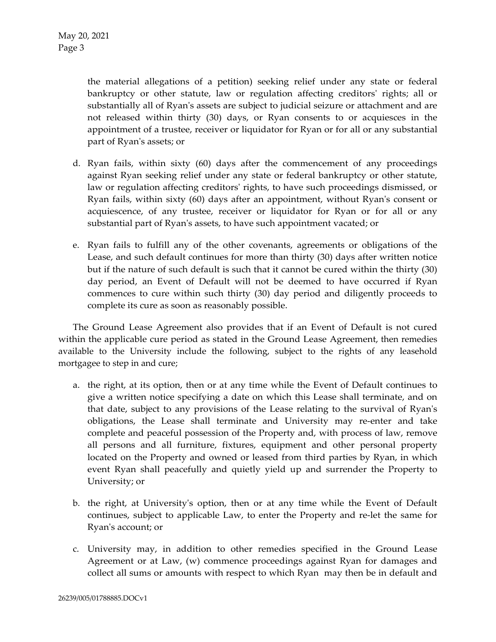the material allegations of a petition) seeking relief under any state or federal bankruptcy or other statute, law or regulation affecting creditors' rights; all or substantially all of Ryan's assets are subject to judicial seizure or attachment and are not released within thirty (30) days, or Ryan consents to or acquiesces in the appointment of a trustee, receiver or liquidator for Ryan or for all or any substantial part of Ryan's assets; or

- d. Ryan fails, within sixty (60) days after the commencement of any proceedings against Ryan seeking relief under any state or federal bankruptcy or other statute, law or regulation affecting creditors' rights, to have such proceedings dismissed, or Ryan fails, within sixty (60) days after an appointment, without Ryan's consent or acquiescence, of any trustee, receiver or liquidator for Ryan or for all or any substantial part of Ryan's assets, to have such appointment vacated; or
- e. Ryan fails to fulfill any of the other covenants, agreements or obligations of the Lease, and such default continues for more than thirty (30) days after written notice but if the nature of such default is such that it cannot be cured within the thirty (30) day period, an Event of Default will not be deemed to have occurred if Ryan commences to cure within such thirty (30) day period and diligently proceeds to complete its cure as soon as reasonably possible.

The Ground Lease Agreement also provides that if an Event of Default is not cured within the applicable cure period as stated in the Ground Lease Agreement, then remedies available to the University include the following, subject to the rights of any leasehold mortgagee to step in and cure;

- a. the right, at its option, then or at any time while the Event of Default continues to give a written notice specifying a date on which this Lease shall terminate, and on that date, subject to any provisions of the Lease relating to the survival of Ryan's obligations, the Lease shall terminate and University may re-enter and take complete and peaceful possession of the Property and, with process of law, remove all persons and all furniture, fixtures, equipment and other personal property located on the Property and owned or leased from third parties by Ryan, in which event Ryan shall peacefully and quietly yield up and surrender the Property to University; or
- b. the right, at University's option, then or at any time while the Event of Default continues, subject to applicable Law, to enter the Property and re-let the same for Ryan's account; or
- c. University may, in addition to other remedies specified in the Ground Lease Agreement or at Law, (w) commence proceedings against Ryan for damages and collect all sums or amounts with respect to which Ryan may then be in default and